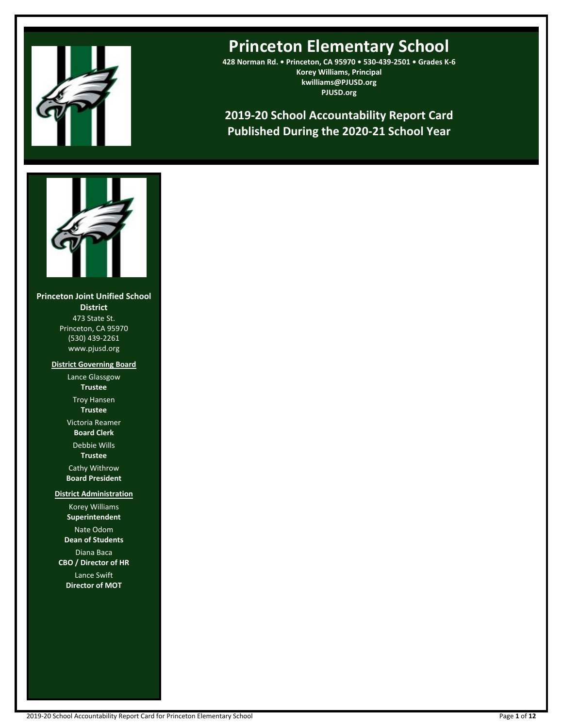

# **Princeton Elementary School**

**428 Norman Rd. • Princeton, CA 95970 • 530-439-2501 • Grades K-6 Korey Williams, Principal kwilliams@PJUSD.org PJUSD.org**

**2019-20 School Accountability Report Card Published During the 2020-21 School Year**



**Princeton Joint Unified School District** 473 State St. Princeton, CA 95970 (530) 439-2261 www.pjusd.org

> **District Governing Board** Lance Glassgow

> > **Trustee** Troy Hansen

**Trustee**

Victoria Reamer **Board Clerk**

Debbie Wills **Trustee**

Cathy Withrow **Board President**

**District Administration**

Korey Williams **Superintendent** Nate Odom **Dean of Students** Diana Baca **CBO / Director of HR** Lance Swift **Director of MOT**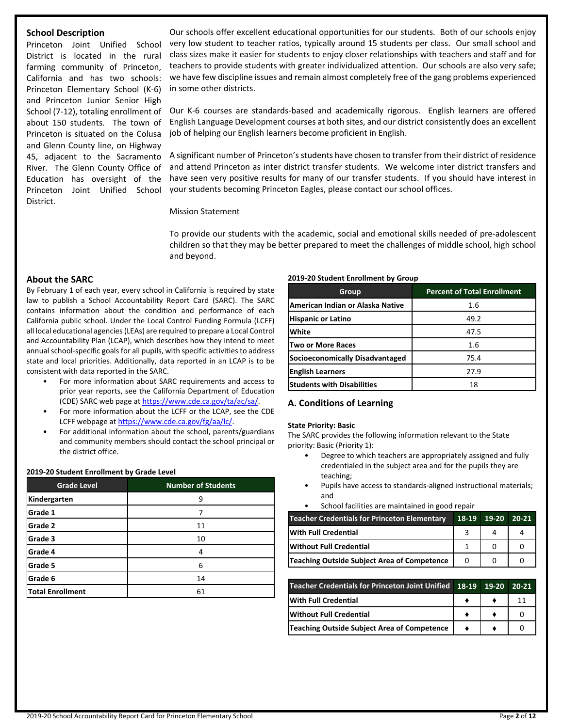# **School Description**

Princeton Joint Unified School District is located in the rural farming community of Princeton, California and has two schools: Princeton Elementary School (K-6) and Princeton Junior Senior High School (7-12), totaling enrollment of about 150 students. The town of Princeton is situated on the Colusa and Glenn County line, on Highway 45, adjacent to the Sacramento River. The Glenn County Office of Education has oversight of the Princeton Joint Unified School District.

Our schools offer excellent educational opportunities for our students. Both of our schools enjoy very low student to teacher ratios, typically around 15 students per class. Our small school and class sizes make it easier for students to enjoy closer relationships with teachers and staff and for teachers to provide students with greater individualized attention. Our schools are also very safe; we have few discipline issues and remain almost completely free of the gang problems experienced in some other districts.

Our K-6 courses are standards-based and academically rigorous. English learners are offered English Language Development courses at both sites, and our district consistently does an excellent job of helping our English learners become proficient in English.

A significant number of Princeton'sstudents have chosen to transfer from their district of residence and attend Princeton as inter district transfer students. We welcome inter district transfers and have seen very positive results for many of our transfer students. If you should have interest in your students becoming Princeton Eagles, please contact our school offices.

Mission Statement

To provide our students with the academic, social and emotional skills needed of pre-adolescent children so that they may be better prepared to meet the challenges of middle school, high school and beyond.

# **About the SARC**

By February 1 of each year, every school in California is required by state law to publish a School Accountability Report Card (SARC). The SARC contains information about the condition and performance of each California public school. Under the Local Control Funding Formula (LCFF) all local educational agencies(LEAs) are required to prepare a Local Control and Accountability Plan (LCAP), which describes how they intend to meet annual school-specific goals for all pupils, with specific activities to address state and local priorities. Additionally, data reported in an LCAP is to be consistent with data reported in the SARC.

- For more information about SARC requirements and access to prior year reports, see the California Department of Education (CDE) SARC web page at [https://www.cde.ca.gov/ta/ac/sa/.](https://www.cde.ca.gov/ta/ac/sa/)
- For more information about the LCFF or the LCAP, see the CDE LCFF webpage at [https://www.cde.ca.gov/fg/aa/lc/.](https://www.cde.ca.gov/fg/aa/lc/)
- For additional information about the school, parents/guardians and community members should contact the school principal or the district office.

#### **2019-20 Student Enrollment by Grade Level**

| <b>Grade Level</b>      | <b>Number of Students</b> |  |  |
|-------------------------|---------------------------|--|--|
| Kindergarten            | 9                         |  |  |
| Grade 1                 |                           |  |  |
| <b>Grade 2</b>          | 11                        |  |  |
| Grade 3                 | 10                        |  |  |
| Grade 4                 | 4                         |  |  |
| Grade 5                 | 6                         |  |  |
| Grade 6                 | 14                        |  |  |
| <b>Total Enrollment</b> | 61                        |  |  |

#### **2019-20 Student Enrollment by Group**

| Group                                  | <b>Percent of Total Enrollment</b> |
|----------------------------------------|------------------------------------|
| American Indian or Alaska Native       | 1.6                                |
| <b>Hispanic or Latino</b>              | 49.2                               |
| White                                  | 47.5                               |
| <b>Two or More Races</b>               | 1.6                                |
| <b>Socioeconomically Disadvantaged</b> | 75.4                               |
| <b>English Learners</b>                | 27.9                               |
| <b>Students with Disabilities</b>      | 18                                 |

## **A. Conditions of Learning**

#### **State Priority: Basic**

The SARC provides the following information relevant to the State priority: Basic (Priority 1):

- Degree to which teachers are appropriately assigned and fully credentialed in the subject area and for the pupils they are teaching;
- Pupils have access to standards-aligned instructional materials; and
- School facilities are maintained in good repair

| <b>Teacher Credentials for Princeton Elementary</b> | 18-19 19-20 | $20-21$ |
|-----------------------------------------------------|-------------|---------|
| <b>With Full Credential</b>                         |             |         |
| <b>IWithout Full Credential</b>                     |             |         |
| Teaching Outside Subject Area of Competence         |             |         |

| Teacher Credentials for Princeton Joint Unified 18-19 19-20 20-21 |  |  |
|-------------------------------------------------------------------|--|--|
| With Full Credential                                              |  |  |
| <b>IWithout Full Credential</b>                                   |  |  |
| Teaching Outside Subject Area of Competence                       |  |  |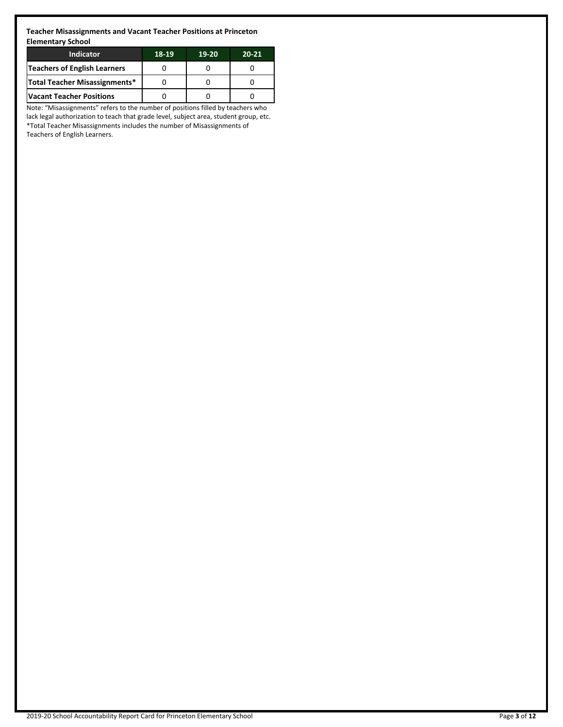**Teacher Misassignments and Vacant Teacher Positions at Princeton Elementary School**

| Indicator                            | 18-19 | 19-20 | $20 - 21$ |
|--------------------------------------|-------|-------|-----------|
| <b>Teachers of English Learners</b>  |       |       |           |
| <b>Total Teacher Misassignments*</b> |       |       |           |
| <b>Vacant Teacher Positions</b>      |       |       |           |

Note: "Misassignments" refers to the number of positions filled by teachers who lack legal authorization to teach that grade level, subject area, student group, etc. \*Total Teacher Misassignments includes the number of Misassignments of Teachers of English Learners.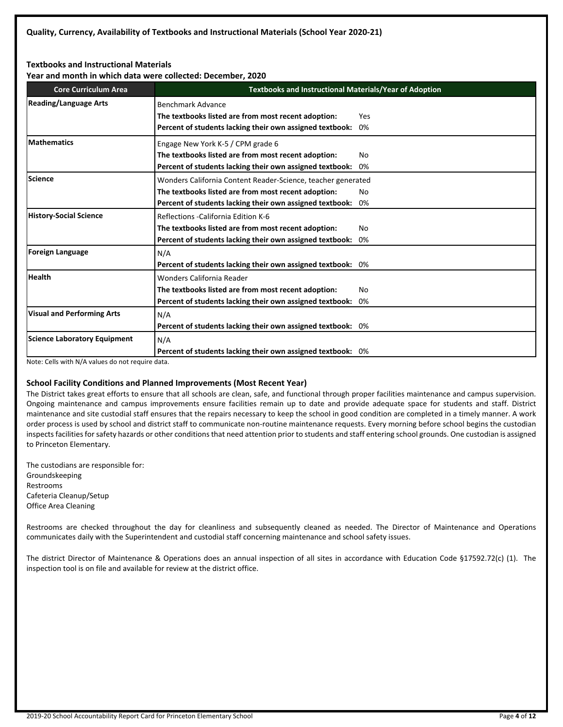## **Textbooks and Instructional Materials**

**Year and month in which data were collected: December, 2020**

| <b>Core Curriculum Area</b>         | Textbooks and Instructional Materials/Year of Adoption                                                                                                                          |           |  |  |  |
|-------------------------------------|---------------------------------------------------------------------------------------------------------------------------------------------------------------------------------|-----------|--|--|--|
| <b>Reading/Language Arts</b>        | Benchmark Advance<br>The textbooks listed are from most recent adoption:<br>Percent of students lacking their own assigned textbook:                                            | Yes<br>0% |  |  |  |
| <b>IMathematics</b>                 | Engage New York K-5 / CPM grade 6<br>The textbooks listed are from most recent adoption:<br>Percent of students lacking their own assigned textbook:                            | No.<br>0% |  |  |  |
| <b>Science</b>                      | Wonders California Content Reader-Science, teacher generated<br>The textbooks listed are from most recent adoption:<br>Percent of students lacking their own assigned textbook: | No.<br>0% |  |  |  |
| History-Social Science              | Reflections - California Edition K-6<br>The textbooks listed are from most recent adoption:<br>Percent of students lacking their own assigned textbook: 0%                      | No        |  |  |  |
| Foreign Language                    | N/A<br>Percent of students lacking their own assigned textbook: 0%                                                                                                              |           |  |  |  |
| <b>Health</b>                       | Wonders California Reader<br>The textbooks listed are from most recent adoption:<br>Percent of students lacking their own assigned textbook: 0%                                 | No        |  |  |  |
| <b>Visual and Performing Arts</b>   | N/A<br>Percent of students lacking their own assigned textbook: 0%                                                                                                              |           |  |  |  |
| <b>Science Laboratory Equipment</b> | N/A<br>Percent of students lacking their own assigned textbook: 0%                                                                                                              |           |  |  |  |

Note: Cells with N/A values do not require data.

## **School Facility Conditions and Planned Improvements (Most Recent Year)**

The District takes great efforts to ensure that all schools are clean, safe, and functional through proper facilities maintenance and campus supervision. Ongoing maintenance and campus improvements ensure facilities remain up to date and provide adequate space for students and staff. District maintenance and site custodial staff ensures that the repairs necessary to keep the school in good condition are completed in a timely manner. A work order process is used by school and district staff to communicate non-routine maintenance requests. Every morning before school begins the custodian inspects facilities for safety hazards or other conditions that need attention prior to students and staff entering school grounds. One custodian is assigned to Princeton Elementary.

The custodians are responsible for: Groundskeeping Restrooms Cafeteria Cleanup/Setup Office Area Cleaning

Restrooms are checked throughout the day for cleanliness and subsequently cleaned as needed. The Director of Maintenance and Operations communicates daily with the Superintendent and custodial staff concerning maintenance and school safety issues.

The district Director of Maintenance & Operations does an annual inspection of all sites in accordance with Education Code §17592.72(c) (1). The inspection tool is on file and available for review at the district office.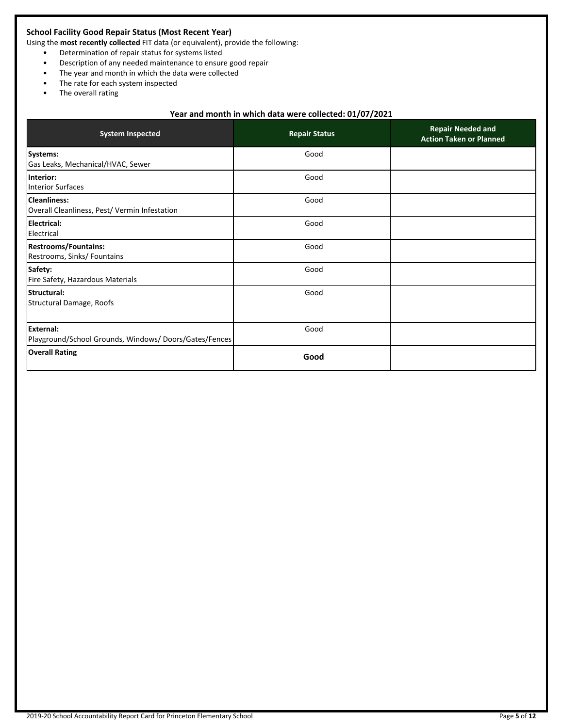# **School Facility Good Repair Status (Most Recent Year)**

Using the **most recently collected** FIT data (or equivalent), provide the following:

- Determination of repair status for systems listed
- Description of any needed maintenance to ensure good repair
- The year and month in which the data were collected
- The rate for each system inspected
- The overall rating

# **Year and month in which data were collected: 01/07/2021**

| <b>System Inspected</b>                                                    | <b>Repair Status</b> | <b>Repair Needed and</b><br><b>Action Taken or Planned</b> |  |  |
|----------------------------------------------------------------------------|----------------------|------------------------------------------------------------|--|--|
| Systems:<br>Gas Leaks, Mechanical/HVAC, Sewer                              | Good                 |                                                            |  |  |
| Interior:<br>Interior Surfaces                                             | Good                 |                                                            |  |  |
| Cleanliness:<br>Overall Cleanliness, Pest/ Vermin Infestation              | Good                 |                                                            |  |  |
| Electrical:<br>Electrical                                                  | Good                 |                                                            |  |  |
| Restrooms/Fountains:<br>Restrooms, Sinks/ Fountains                        | Good                 |                                                            |  |  |
| Safety:<br>Fire Safety, Hazardous Materials                                | Good                 |                                                            |  |  |
| <b>Structural:</b><br>Structural Damage, Roofs                             | Good                 |                                                            |  |  |
| <b>IExternal:</b><br>Playground/School Grounds, Windows/Doors/Gates/Fences | Good                 |                                                            |  |  |
| <b>Overall Rating</b>                                                      | Good                 |                                                            |  |  |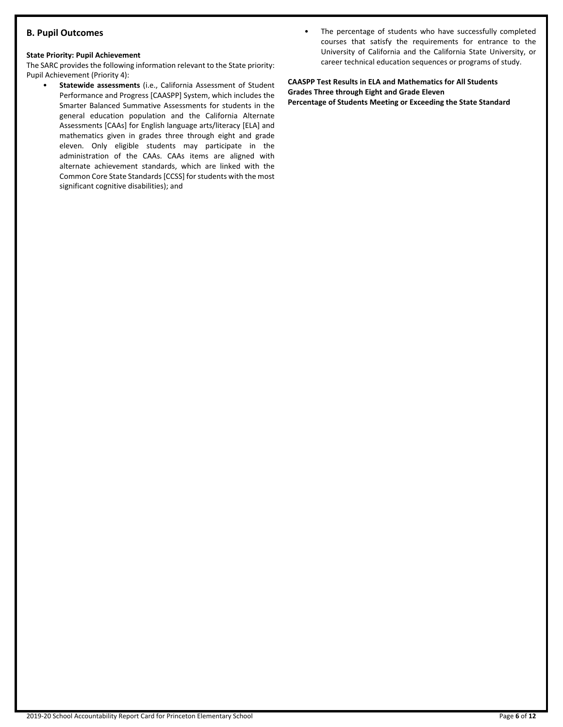# **B. Pupil Outcomes**

## **State Priority: Pupil Achievement**

The SARC provides the following information relevant to the State priority: Pupil Achievement (Priority 4):

- **Statewide assessments** (i.e., California Assessment of Student Performance and Progress [CAASPP] System, which includes the Smarter Balanced Summative Assessments for students in the general education population and the California Alternate Assessments [CAAs] for English language arts/literacy [ELA] and mathematics given in grades three through eight and grade eleven. Only eligible students may participate in the administration of the CAAs. CAAs items are aligned with alternate achievement standards, which are linked with the Common Core State Standards [CCSS] for students with the most significant cognitive disabilities); and
- The percentage of students who have successfully completed courses that satisfy the requirements for entrance to the University of California and the California State University, or career technical education sequences or programs of study.

**CAASPP Test Results in ELA and Mathematics for All Students Grades Three through Eight and Grade Eleven Percentage of Students Meeting or Exceeding the State Standard**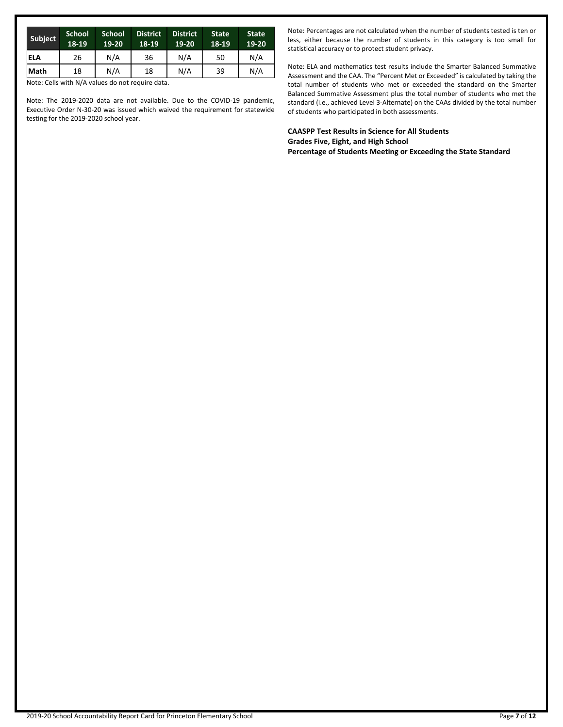| N/A<br>N/A<br>26<br>36<br>50<br>ELA         | N/A |
|---------------------------------------------|-----|
| N/A<br>N/A<br><b>Math</b><br>18<br>18<br>39 | N/A |

Note: Cells with N/A values do not require data.

Note: The 2019-2020 data are not available. Due to the COVID-19 pandemic, Executive Order N-30-20 was issued which waived the requirement for statewide testing for the 2019-2020 school year.

Note: Percentages are not calculated when the number of students tested is ten or less, either because the number of students in this category is too small for statistical accuracy or to protect student privacy.

Note: ELA and mathematics test results include the Smarter Balanced Summative Assessment and the CAA. The "Percent Met or Exceeded" is calculated by taking the total number of students who met or exceeded the standard on the Smarter Balanced Summative Assessment plus the total number of students who met the standard (i.e., achieved Level 3-Alternate) on the CAAs divided by the total number of students who participated in both assessments.

**CAASPP Test Results in Science for All Students Grades Five, Eight, and High School Percentage of Students Meeting or Exceeding the State Standard**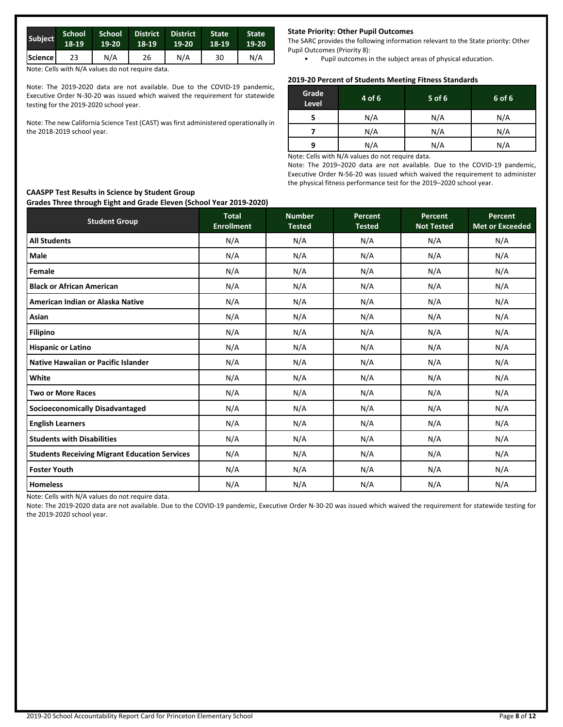| <b>Subject</b>       | School<br>18-19 | 19-20 | School District<br>18-19 | <b>District</b><br>$19-20$ | <b>State</b><br>18-19 | <b>State</b><br>19-20 |
|----------------------|-----------------|-------|--------------------------|----------------------------|-----------------------|-----------------------|
| Science <sub>1</sub> | 23              | N/A   | 26                       | N/A                        | 30                    | N/A                   |

Note: Cells with N/A values do not require data.

**CAASPP Test Results in Science by Student Group**

Note: The 2019-2020 data are not available. Due to the COVID-19 pandemic, Executive Order N-30-20 was issued which waived the requirement for statewide testing for the 2019-2020 school year.

Note: The new California Science Test (CAST) was first administered operationally in the 2018-2019 school year.

### **State Priority: Other Pupil Outcomes**

The SARC provides the following information relevant to the State priority: Other Pupil Outcomes (Priority 8):

• Pupil outcomes in the subject areas of physical education.

## **2019-20 Percent of Students Meeting Fitness Standards**

| Grade<br>Level | 4 of 6 | 5 of 6 | 6 of 6 |
|----------------|--------|--------|--------|
|                | N/A    | N/A    | N/A    |
|                | N/A    | N/A    | N/A    |
| 9              | N/A    | N/A    | N/A    |
|                |        |        |        |

Note: Cells with N/A values do not require data.

Note: The 2019–2020 data are not available. Due to the COVID-19 pandemic, Executive Order N-56-20 was issued which waived the requirement to administer the physical fitness performance test for the 2019–2020 school year.

# **Grades Three through Eight and Grade Eleven (School Year 2019-2020) Student Group Total Enrollment Number Tested Percent Tested Percent Not Tested Percent Met or Exceeded All Students** N/A N/A N/A N/A N/A **Male** N/A N/A N/A N/A N/A **Female** N/A N/A N/A N/A N/A **Black or African American** N/A N/A N/A N/A N/A **American Indian or Alaska Native** N/A N/A N/A N/A N/A **Asian** N/A N/A N/A N/A N/A **Filipino** N/A N/A N/A N/A N/A **Hispanic or Latino** N/A N/A N/A N/A N/A **Native Hawaiian or Pacific Islander** N/A N/A N/A N/A N/A **White** N/A N/A N/A N/A N/A **Two or More Races** N/A N/A N/A N/A N/A **Socioeconomically Disadvantaged** N/A N/A N/A N/A N/A **English Learners** N/A N/A N/A N/A N/A **Students with Disabilities** N/A N/A N/A N/A N/A **Students Receiving Migrant Education Services** N/A N/A N/A N/A N/A **Foster Youth** N/A N/A N/A N/A N/A **Homeless** N/A N/A N/A N/A N/A

Note: Cells with N/A values do not require data.

Note: The 2019-2020 data are not available. Due to the COVID-19 pandemic, Executive Order N-30-20 was issued which waived the requirement for statewide testing for the 2019-2020 school year.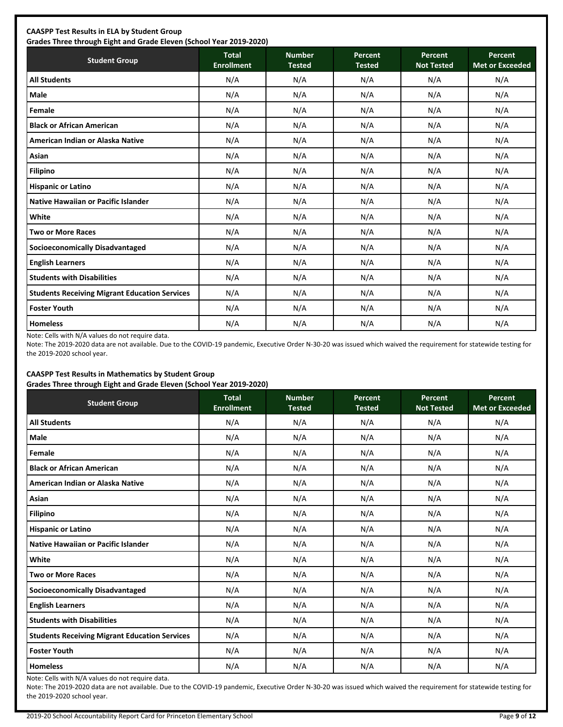| <b>CAASPP Test Results in ELA by Student Group</b><br>Grades Three through Eight and Grade Eleven (School Year 2019-2020) |              |               |               |            |                 |
|---------------------------------------------------------------------------------------------------------------------------|--------------|---------------|---------------|------------|-----------------|
| <b>Student Group</b>                                                                                                      | <b>Total</b> | <b>Number</b> | Percent       | Percent    | <b>Percent</b>  |
|                                                                                                                           | Enrollmant   | Tostod        | <b>Tostod</b> | Not Tostad | Mot or Excooder |

| <b>Student Group</b>                                 | <b>Total</b><br><b>Enrollment</b> | <b>Number</b><br><b>Tested</b> | <b>Percent</b><br><b>Tested</b> | Percent<br><b>Not Tested</b> | Percent<br><b>Met or Exceeded</b> |
|------------------------------------------------------|-----------------------------------|--------------------------------|---------------------------------|------------------------------|-----------------------------------|
| <b>All Students</b>                                  | N/A                               | N/A                            | N/A                             | N/A                          | N/A                               |
| <b>Male</b>                                          | N/A                               | N/A                            | N/A                             | N/A                          | N/A                               |
| Female                                               | N/A                               | N/A                            | N/A                             | N/A                          | N/A                               |
| <b>Black or African American</b>                     | N/A                               | N/A                            | N/A                             | N/A                          | N/A                               |
| American Indian or Alaska Native                     | N/A                               | N/A                            | N/A                             | N/A                          | N/A                               |
| Asian                                                | N/A                               | N/A                            | N/A                             | N/A                          | N/A                               |
| <b>Filipino</b>                                      | N/A                               | N/A                            | N/A                             | N/A                          | N/A                               |
| <b>Hispanic or Latino</b>                            | N/A                               | N/A                            | N/A                             | N/A                          | N/A                               |
| <b>Native Hawaiian or Pacific Islander</b>           | N/A                               | N/A                            | N/A                             | N/A                          | N/A                               |
| White                                                | N/A                               | N/A                            | N/A                             | N/A                          | N/A                               |
| <b>Two or More Races</b>                             | N/A                               | N/A                            | N/A                             | N/A                          | N/A                               |
| <b>Socioeconomically Disadvantaged</b>               | N/A                               | N/A                            | N/A                             | N/A                          | N/A                               |
| <b>English Learners</b>                              | N/A                               | N/A                            | N/A                             | N/A                          | N/A                               |
| <b>Students with Disabilities</b>                    | N/A                               | N/A                            | N/A                             | N/A                          | N/A                               |
| <b>Students Receiving Migrant Education Services</b> | N/A                               | N/A                            | N/A                             | N/A                          | N/A                               |
| <b>Foster Youth</b>                                  | N/A                               | N/A                            | N/A                             | N/A                          | N/A                               |
| <b>Homeless</b>                                      | N/A                               | N/A                            | N/A                             | N/A                          | N/A                               |

Note: Cells with N/A values do not require data.

Note: The 2019-2020 data are not available. Due to the COVID-19 pandemic, Executive Order N-30-20 was issued which waived the requirement for statewide testing for the 2019-2020 school year.

## **CAASPP Test Results in Mathematics by Student Group Grades Three through Eight and Grade Eleven (School Year 2019-2020)**

| <b>Student Group</b>                                 | <b>Total</b><br><b>Enrollment</b> | <b>Number</b><br><b>Tested</b> | Percent<br><b>Tested</b> | Percent<br><b>Not Tested</b> | Percent<br><b>Met or Exceeded</b> |
|------------------------------------------------------|-----------------------------------|--------------------------------|--------------------------|------------------------------|-----------------------------------|
| <b>All Students</b>                                  | N/A                               | N/A                            | N/A                      | N/A                          | N/A                               |
| Male                                                 | N/A                               | N/A                            | N/A                      | N/A                          | N/A                               |
| Female                                               | N/A                               | N/A                            | N/A                      | N/A                          | N/A                               |
| <b>Black or African American</b>                     | N/A                               | N/A                            | N/A                      | N/A                          | N/A                               |
| American Indian or Alaska Native                     | N/A                               | N/A                            | N/A                      | N/A                          | N/A                               |
| Asian                                                | N/A                               | N/A                            | N/A                      | N/A                          | N/A                               |
| <b>Filipino</b>                                      | N/A                               | N/A                            | N/A                      | N/A                          | N/A                               |
| <b>Hispanic or Latino</b>                            | N/A                               | N/A                            | N/A                      | N/A                          | N/A                               |
| Native Hawaiian or Pacific Islander                  | N/A                               | N/A                            | N/A                      | N/A                          | N/A                               |
| White                                                | N/A                               | N/A                            | N/A                      | N/A                          | N/A                               |
| <b>Two or More Races</b>                             | N/A                               | N/A                            | N/A                      | N/A                          | N/A                               |
| <b>Socioeconomically Disadvantaged</b>               | N/A                               | N/A                            | N/A                      | N/A                          | N/A                               |
| <b>English Learners</b>                              | N/A                               | N/A                            | N/A                      | N/A                          | N/A                               |
| <b>Students with Disabilities</b>                    | N/A                               | N/A                            | N/A                      | N/A                          | N/A                               |
| <b>Students Receiving Migrant Education Services</b> | N/A                               | N/A                            | N/A                      | N/A                          | N/A                               |
| <b>Foster Youth</b>                                  | N/A                               | N/A                            | N/A                      | N/A                          | N/A                               |
| <b>Homeless</b>                                      | N/A                               | N/A                            | N/A                      | N/A                          | N/A                               |

Note: Cells with N/A values do not require data.

Note: The 2019-2020 data are not available. Due to the COVID-19 pandemic, Executive Order N-30-20 was issued which waived the requirement for statewide testing for the 2019-2020 school year.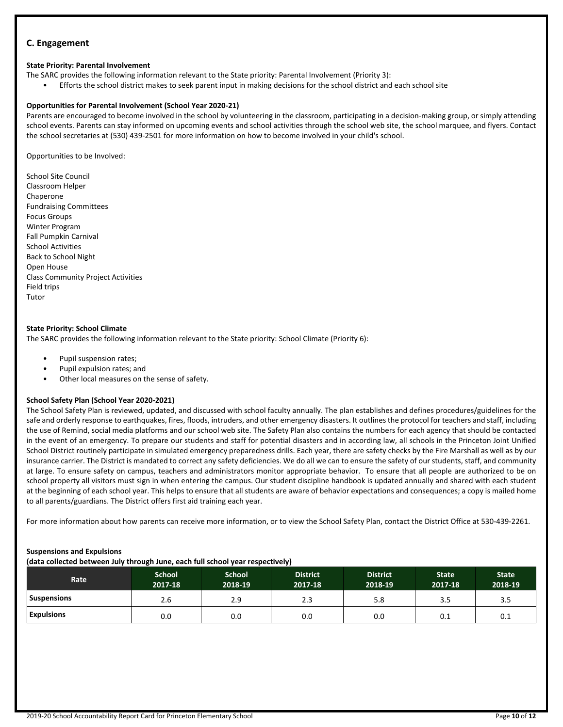# **C. Engagement**

## **State Priority: Parental Involvement**

The SARC provides the following information relevant to the State priority: Parental Involvement (Priority 3):

• Efforts the school district makes to seek parent input in making decisions for the school district and each school site

### **Opportunities for Parental Involvement (School Year 2020-21)**

Parents are encouraged to become involved in the school by volunteering in the classroom, participating in a decision-making group, or simply attending school events. Parents can stay informed on upcoming events and school activities through the school web site, the school marquee, and flyers. Contact the school secretaries at (530) 439-2501 for more information on how to become involved in your child's school.

Opportunities to be Involved:

School Site Council Classroom Helper Chaperone Fundraising Committees Focus Groups Winter Program Fall Pumpkin Carnival School Activities Back to School Night Open House Class Community Project Activities Field trips Tutor

## **State Priority: School Climate**

The SARC provides the following information relevant to the State priority: School Climate (Priority 6):

- Pupil suspension rates;
- Pupil expulsion rates; and
- Other local measures on the sense of safety.

## **School Safety Plan (School Year 2020-2021)**

The School Safety Plan is reviewed, updated, and discussed with school faculty annually. The plan establishes and defines procedures/guidelines for the safe and orderly response to earthquakes, fires, floods, intruders, and other emergency disasters. It outlines the protocol for teachers and staff, including the use of Remind, social media platforms and our school web site. The Safety Plan also contains the numbers for each agency that should be contacted in the event of an emergency. To prepare our students and staff for potential disasters and in according law, all schools in the Princeton Joint Unified School District routinely participate in simulated emergency preparedness drills. Each year, there are safety checks by the Fire Marshall as well as by our insurance carrier. The District is mandated to correct any safety deficiencies. We do all we can to ensure the safety of our students, staff, and community at large. To ensure safety on campus, teachers and administrators monitor appropriate behavior. To ensure that all people are authorized to be on school property all visitors must sign in when entering the campus. Our student discipline handbook is updated annually and shared with each student at the beginning of each school year. This helps to ensure that all students are aware of behavior expectations and consequences; a copy is mailed home to all parents/guardians. The District offers first aid training each year.

For more information about how parents can receive more information, or to view the School Safety Plan, contact the District Office at 530-439-2261.

#### **Suspensions and Expulsions**

**(data collected between July through June, each full school year respectively)**

| Rate               | <b>School</b><br>2017-18 | <b>School</b><br>2018-19 | <b>District</b><br>2017-18 | <b>District</b><br>2018-19 | <b>State</b><br>2017-18 | <b>State</b><br>2018-19 |
|--------------------|--------------------------|--------------------------|----------------------------|----------------------------|-------------------------|-------------------------|
| <b>Suspensions</b> | 2.6                      | 2.9                      | 2.3                        | 5.8                        | 3.5                     | 3.5                     |
| <b>Expulsions</b>  | 0.0                      | 0.0                      | 0.0                        | 0.0                        | 0.1                     | 0.1                     |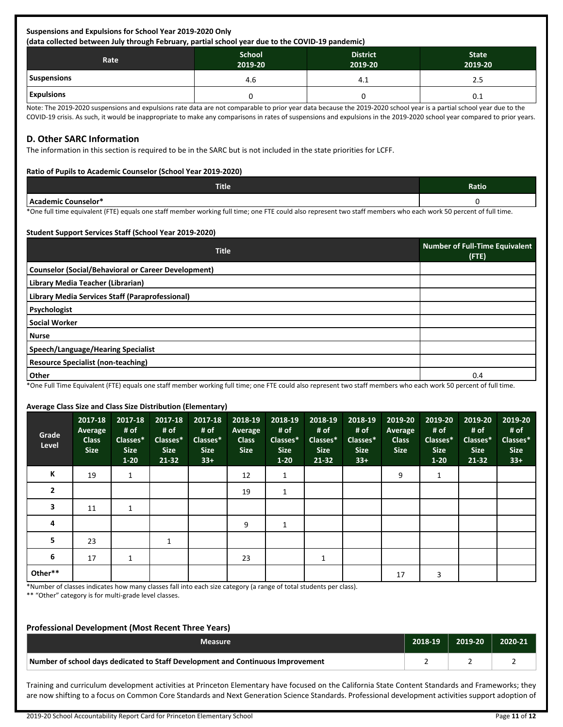#### **Suspensions and Expulsions for School Year 2019-2020 Only (data collected between July through February, partial school year due to the COVID-19 pandemic)**

| . .<br>.<br>Rate  | <b>School</b><br>2019-20 | <b>District</b><br>2019-20 | <b>State</b><br>2019-20 |
|-------------------|--------------------------|----------------------------|-------------------------|
| Suspensions       | 4.6                      | 4.1                        | 2.5                     |
| <b>Expulsions</b> |                          |                            | 0.1                     |

Note: The 2019-2020 suspensions and expulsions rate data are not comparable to prior year data because the 2019-2020 school year is a partial school year due to the COVID-19 crisis. As such, it would be inappropriate to make any comparisons in rates of suspensions and expulsions in the 2019-2020 school year compared to prior years.

# **D. Other SARC Information**

The information in this section is required to be in the SARC but is not included in the state priorities for LCFF.

## **Ratio of Pupils to Academic Counselor (School Year 2019-2020)**

| <b>Title</b>                      | Ratio |
|-----------------------------------|-------|
| $h$ cao<br>-`ounselor*<br>demic ″ |       |

\*One full time equivalent (FTE) equals one staff member working full time; one FTE could also represent two staff members who each work 50 percent of full time.

## **Student Support Services Staff (School Year 2019-2020)**

| <b>Title</b>                                               | <b>Number of Full-Time Equivalent</b><br>(FTE) |
|------------------------------------------------------------|------------------------------------------------|
| <b>Counselor (Social/Behavioral or Career Development)</b> |                                                |
| Library Media Teacher (Librarian)                          |                                                |
| Library Media Services Staff (Paraprofessional)            |                                                |
| Psychologist                                               |                                                |
| <b>Social Worker</b>                                       |                                                |
| <b>Nurse</b>                                               |                                                |
| Speech/Language/Hearing Specialist                         |                                                |
| <b>Resource Specialist (non-teaching)</b>                  |                                                |
| Other                                                      | 0.4                                            |

\*One Full Time Equivalent (FTE) equals one staff member working full time; one FTE could also represent two staff members who each work 50 percent of full time.

#### **Average Class Size and Class Size Distribution (Elementary)**

| Grade<br>Level | 2017-18<br>Average<br><b>Class</b><br><b>Size</b> | 2017-18<br># of<br>Classes*<br><b>Size</b><br>$1 - 20$ | 2017-18<br># of<br>Classes*<br><b>Size</b><br>$21 - 32$ | $2017 - 18$<br># of<br>Classes*<br><b>Size</b><br>$33+$ | 2018-19<br>Average<br><b>Class</b><br><b>Size</b> | 2018-19<br># of<br>Classes*<br><b>Size</b><br>$1-20$ | 2018-19<br># of<br>Classes*<br><b>Size</b><br>$21 - 32$ | 2018-19<br># of<br>Classes*<br><b>Size</b><br>$33+$ | 2019-20<br>Average<br><b>Class</b><br><b>Size</b> | 2019-20<br># of<br>Classes*<br><b>Size</b><br>$1 - 20$ | 2019-20<br># of<br>Classes*<br><b>Size</b><br>$21 - 32$ | 2019-20<br># of<br>Classes*<br><b>Size</b><br>$33+$ |
|----------------|---------------------------------------------------|--------------------------------------------------------|---------------------------------------------------------|---------------------------------------------------------|---------------------------------------------------|------------------------------------------------------|---------------------------------------------------------|-----------------------------------------------------|---------------------------------------------------|--------------------------------------------------------|---------------------------------------------------------|-----------------------------------------------------|
| К              | 19                                                | 1                                                      |                                                         |                                                         | 12                                                | $\mathbf{1}$                                         |                                                         |                                                     | 9                                                 | $\mathbf{1}$                                           |                                                         |                                                     |
| $\mathbf{2}$   |                                                   |                                                        |                                                         |                                                         | 19                                                | 1                                                    |                                                         |                                                     |                                                   |                                                        |                                                         |                                                     |
| 3              | 11                                                | 1                                                      |                                                         |                                                         |                                                   |                                                      |                                                         |                                                     |                                                   |                                                        |                                                         |                                                     |
| 4              |                                                   |                                                        |                                                         |                                                         | 9                                                 | $\mathbf{1}$                                         |                                                         |                                                     |                                                   |                                                        |                                                         |                                                     |
| 5              | 23                                                |                                                        |                                                         |                                                         |                                                   |                                                      |                                                         |                                                     |                                                   |                                                        |                                                         |                                                     |
| 6              | 17                                                | $\mathbf{1}$                                           |                                                         |                                                         | 23                                                |                                                      | 1                                                       |                                                     |                                                   |                                                        |                                                         |                                                     |
| Other**        |                                                   |                                                        |                                                         |                                                         |                                                   |                                                      |                                                         |                                                     | 17                                                | 3                                                      |                                                         |                                                     |

\*Number of classes indicates how many classes fall into each size category (a range of total students per class).

\*\* "Other" category is for multi-grade level classes.

# **Professional Development (Most Recent Three Years)**

| Measure                                                                         | 2018-19 | $2019-20$ | 2020-21 |
|---------------------------------------------------------------------------------|---------|-----------|---------|
| Number of school days dedicated to Staff Development and Continuous Improvement |         |           |         |

Training and curriculum development activities at Princeton Elementary have focused on the California State Content Standards and Frameworks; they are now shifting to a focus on Common Core Standards and Next Generation Science Standards. Professional development activities support adoption of